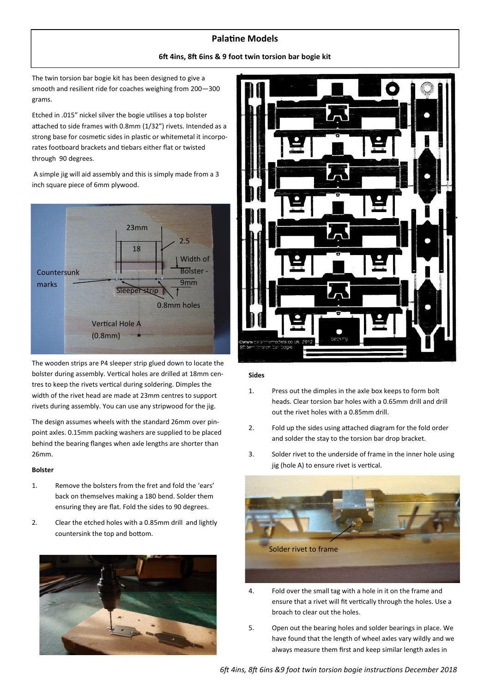## **Palatine Models**

**6ft 4ins, 8ft 6ins & 9 foot twin torsion bar bogie kit**

The twin torsion bar bogie kit has been designed to give a smooth and resilient ride for coaches weighing from 200—300 grams.

Etched in .015" nickel silver the bogie utilises a top bolster attached to side frames with 0.8mm (1/32") rivets. Intended as a strong base for cosmetic sides in plastic or whitemetal it incorporates footboard brackets and tiebars either flat or twisted through 90 degrees.

A simple jig will aid assembly and this is simply made from a 3 inch square piece of 6mm plywood.



The wooden strips are P4 sleeper strip glued down to locate the bolster during assembly. Vertical holes are drilled at 18mm centres to keep the rivets vertical during soldering. Dimples the width of the rivet head are made at 23mm centres to support rivets during assembly. You can use any stripwood for the jig.

The design assumes wheels with the standard 26mm over pinpoint axles. 0.15mm packing washers are supplied to be placed behind the bearing flanges when axle lengths are shorter than 26mm.

#### **Bolster**

- 1. Remove the bolsters from the fret and fold the 'ears' back on themselves making a 180 bend. Solder them ensuring they are flat. Fold the sides to 90 degrees.
- 2. Clear the etched holes with a 0.85mm drill and lightly countersink the top and bottom.





### **Sides**

- 1. Press out the dimples in the axle box keeps to form bolt heads. Clear torsion bar holes with a 0.65mm drill and drill out the rivet holes with a 0.85mm drill.
- 2. Fold up the sides using attached diagram for the fold order and solder the stay to the torsion bar drop bracket.
- 3. Solder rivet to the underside of frame in the inner hole using jig (hole A) to ensure rivet is vertical.



- 4. Fold over the small tag with a hole in it on the frame and ensure that a rivet will fit vertically through the holes. Use a broach to clear out the holes.
- 5. Open out the bearing holes and solder bearings in place. We have found that the length of wheel axles vary wildly and we always measure them first and keep similar length axles in

*6ft 4ins, 8ft 6ins &9 foot twin torsion bogie instructions December 2018*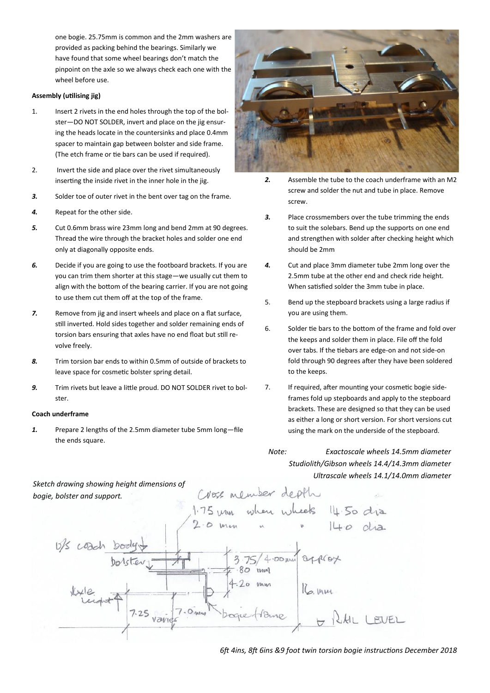one bogie. 25.75mm is common and the 2mm washers are provided as packing behind the bearings. Similarly we have found that some wheel bearings don't match the pinpoint on the axle so we always check each one with the wheel before use.

#### **Assembly (utilising jig)**

- 1. Insert 2 rivets in the end holes through the top of the bolster—DO NOT SOLDER, invert and place on the jig ensuring the heads locate in the countersinks and place 0.4mm spacer to maintain gap between bolster and side frame. (The etch frame or tie bars can be used if required).
- 2. Invert the side and place over the rivet simultaneously inserting the inside rivet in the inner hole in the jig.
- **3.** Solder toe of outer rivet in the bent over tag on the frame.
- *4.* Repeat for the other side.
- *5.* Cut 0.6mm brass wire 23mm long and bend 2mm at 90 degrees. Thread the wire through the bracket holes and solder one end only at diagonally opposite ends.
- *6.* Decide if you are going to use the footboard brackets. If you are you can trim them shorter at this stage—we usually cut them to align with the bottom of the bearing carrier. If you are not going to use them cut them off at the top of the frame.
- *7.* Remove from jig and insert wheels and place on a flat surface, still inverted. Hold sides together and solder remaining ends of torsion bars ensuring that axles have no end float but still revolve freely.
- *8.* Trim torsion bar ends to within 0.5mm of outside of brackets to leave space for cosmetic bolster spring detail.
- *9.* Trim rivets but leave a little proud. DO NOT SOLDER rivet to bolster.

#### **Coach underframe**

*1.* Prepare 2 lengths of the 2.5mm diameter tube 5mm long—file the ends square.



- *2.* Assemble the tube to the coach underframe with an M2 screw and solder the nut and tube in place. Remove screw.
- *3.* Place crossmembers over the tube trimming the ends to suit the solebars. Bend up the supports on one end and strengthen with solder after checking height which should be 2mm
- *4.* Cut and place 3mm diameter tube 2mm long over the 2.5mm tube at the other end and check ride height. When satisfied solder the 3mm tube in place.
- 5. Bend up the stepboard brackets using a large radius if you are using them.
- 6. Solder tie bars to the bottom of the frame and fold over the keeps and solder them in place. File off the fold over tabs. If the tiebars are edge-on and not side-on fold through 90 degrees after they have been soldered to the keeps.
- 7. If required, after mounting your cosmetic bogie sideframes fold up stepboards and apply to the stepboard brackets. These are designed so that they can be used as either a long or short version. For short versions cut using the mark on the underside of the stepboard.

*Note: Exactoscale wheels 14.5mm diameter Studiolith/Gibson wheels 14.4/14.3mm diameter Ultrascale wheels 14.1/14.0mm diameter*



*6ft 4ins, 8ft 6ins &9 foot twin torsion bogie instructions December 2018*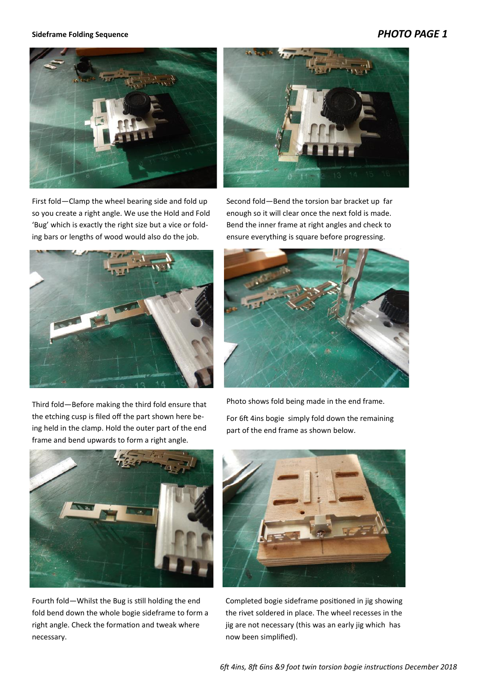# *PHOTO PAGE 1*

#### **Sideframe Folding Sequence**



First fold—Clamp the wheel bearing side and fold up so you create a right angle. We use the Hold and Fold 'Bug' which is exactly the right size but a vice or folding bars or lengths of wood would also do the job.



Second fold—Bend the torsion bar bracket up far enough so it will clear once the next fold is made. Bend the inner frame at right angles and check to

ensure everything is square before progressing.



Third fold—Before making the third fold ensure that the etching cusp is filed off the part shown here being held in the clamp. Hold the outer part of the end frame and bend upwards to form a right angle.

Photo shows fold being made in the end frame. For 6ft 4ins bogie simply fold down the remaining part of the end frame as shown below.



Fourth fold—Whilst the Bug is still holding the end fold bend down the whole bogie sideframe to form a right angle. Check the formation and tweak where necessary.



Completed bogie sideframe positioned in jig showing the rivet soldered in place. The wheel recesses in the jig are not necessary (this was an early jig which has now been simplified).